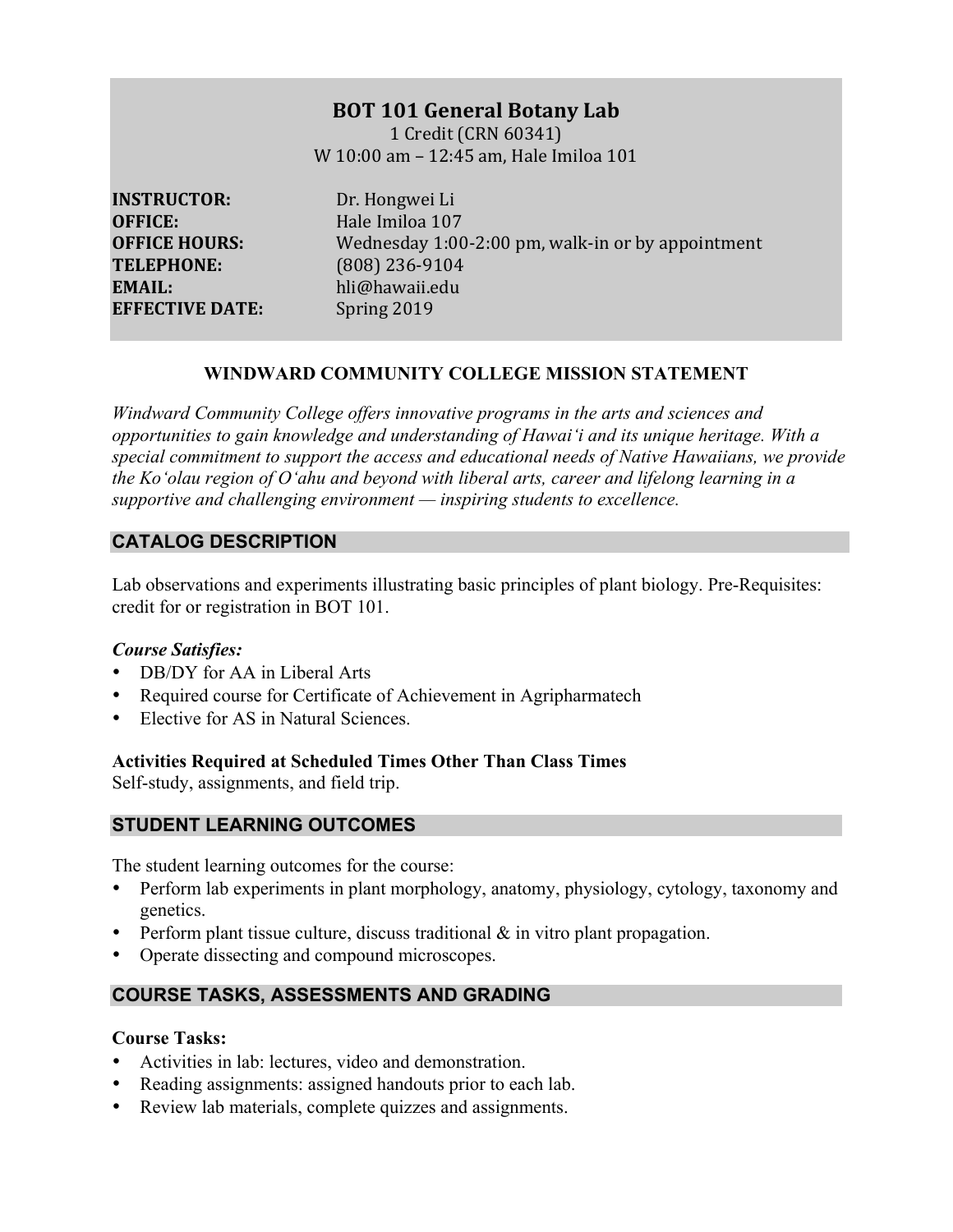# **BOT 101 General Botany Lab**

1 Credit (CRN 60341) W 10:00 am - 12:45 am, Hale Imiloa 101

**INSTRUCTOR:** Dr. Hongwei Li **OFFICE:** Hale Imiloa 107 **TELEPHONE:** (808) 236-9104 **EMAIL:**  hli@hawaii.edu **EFFECTIVE DATE:** Spring 2019

**OFFICE HOURS:** Wednesday 1:00-2:00 pm, walk-in or by appointment

## **WINDWARD COMMUNITY COLLEGE MISSION STATEMENT**

*Windward Community College offers innovative programs in the arts and sciences and opportunities to gain knowledge and understanding of Hawai'i and its unique heritage. With a special commitment to support the access and educational needs of Native Hawaiians, we provide the Ko'olau region of Oʻahu and beyond with liberal arts, career and lifelong learning in a supportive and challenging environment — inspiring students to excellence.*

# **CATALOG DESCRIPTION**

Lab observations and experiments illustrating basic principles of plant biology. Pre-Requisites: credit for or registration in BOT 101.

## *Course Satisfies:*

- DB/DY for AA in Liberal Arts
- Required course for Certificate of Achievement in Agripharmatech
- Elective for AS in Natural Sciences.

## **Activities Required at Scheduled Times Other Than Class Times**

Self-study, assignments, and field trip.

## **STUDENT LEARNING OUTCOMES**

The student learning outcomes for the course:

- Perform lab experiments in plant morphology, anatomy, physiology, cytology, taxonomy and genetics.
- Perform plant tissue culture, discuss traditional  $\&$  in vitro plant propagation.
- Operate dissecting and compound microscopes.

# **COURSE TASKS, ASSESSMENTS AND GRADING**

### **Course Tasks:**

- Activities in lab: lectures, video and demonstration.
- Reading assignments: assigned handouts prior to each lab.
- Review lab materials, complete quizzes and assignments.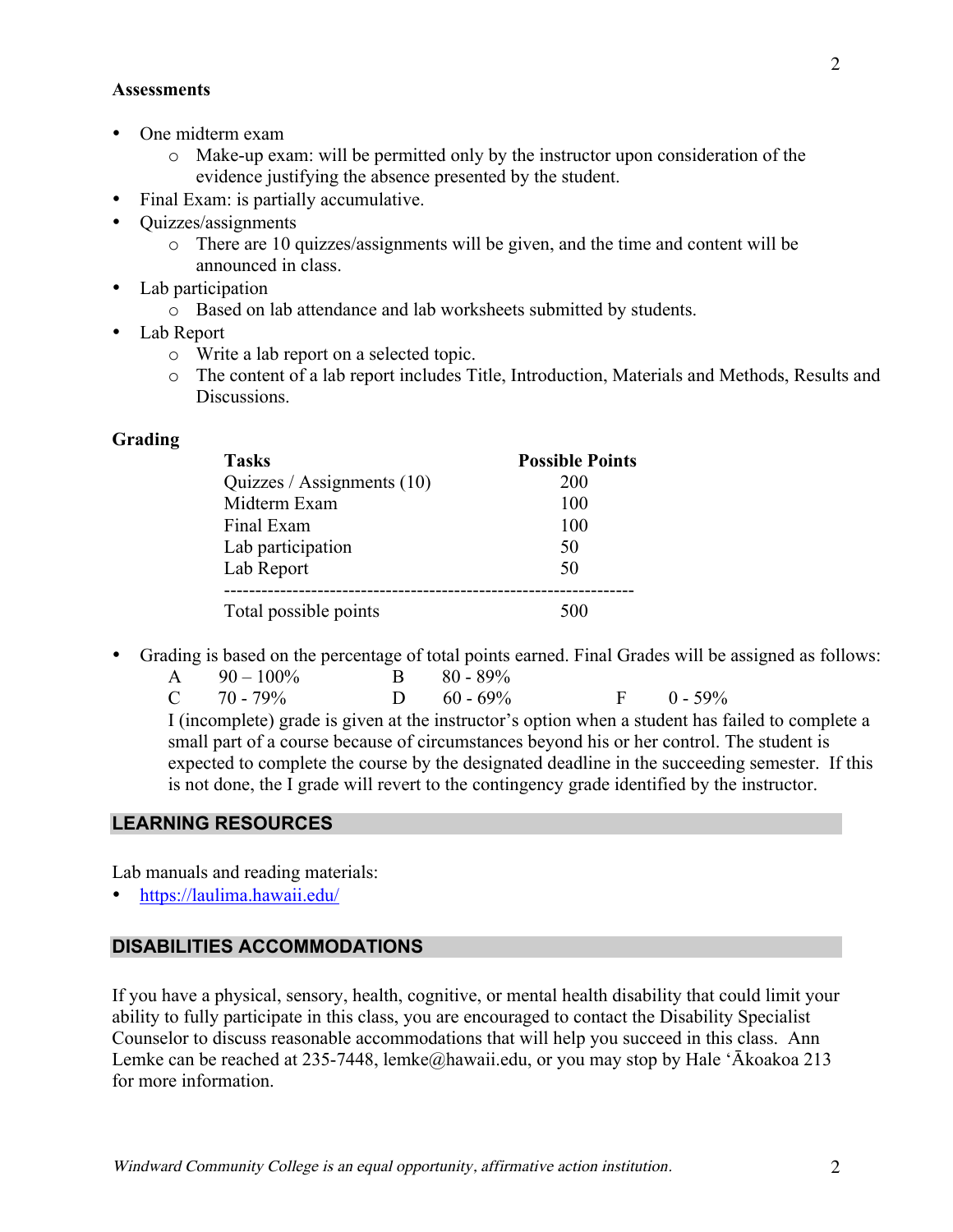- One midterm exam
	- o Make-up exam: will be permitted only by the instructor upon consideration of the evidence justifying the absence presented by the student.
	- Final Exam: is partially accumulative.
- Quizzes/assignments
	- o There are 10 quizzes/assignments will be given, and the time and content will be announced in class.
- Lab participation
	- o Based on lab attendance and lab worksheets submitted by students.
- Lab Report
	- o Write a lab report on a selected topic.
	- o The content of a lab report includes Title, Introduction, Materials and Methods, Results and **Discussions**

#### **Grading**

| <b>Tasks</b>                 | <b>Possible Points</b> |
|------------------------------|------------------------|
| Quizzes / Assignments $(10)$ | 200                    |
| Midterm Exam                 | 100                    |
| Final Exam                   | 100                    |
| Lab participation            | 50                     |
| Lab Report                   | 50                     |
| Total possible points        | 500                    |

• Grading is based on the percentage of total points earned. Final Grades will be assigned as follows:

| $A = 90 - 100\%$ | $B = 80 - 89\%$ |                |
|------------------|-----------------|----------------|
| $C = 70 - 79\%$  | D $60 - 69\%$   | $F = 0 - 59\%$ |

I (incomplete) grade is given at the instructor's option when a student has failed to complete a small part of a course because of circumstances beyond his or her control. The student is expected to complete the course by the designated deadline in the succeeding semester. If this is not done, the I grade will revert to the contingency grade identified by the instructor.

### **LEARNING RESOURCES**

Lab manuals and reading materials:

• https://laulima.hawaii.edu/

### **DISABILITIES ACCOMMODATIONS**

If you have a physical, sensory, health, cognitive, or mental health disability that could limit your ability to fully participate in this class, you are encouraged to contact the Disability Specialist Counselor to discuss reasonable accommodations that will help you succeed in this class. Ann Lemke can be reached at 235-7448, lemke@hawaii.edu, or you may stop by Hale 'Ākoakoa 213 for more information.